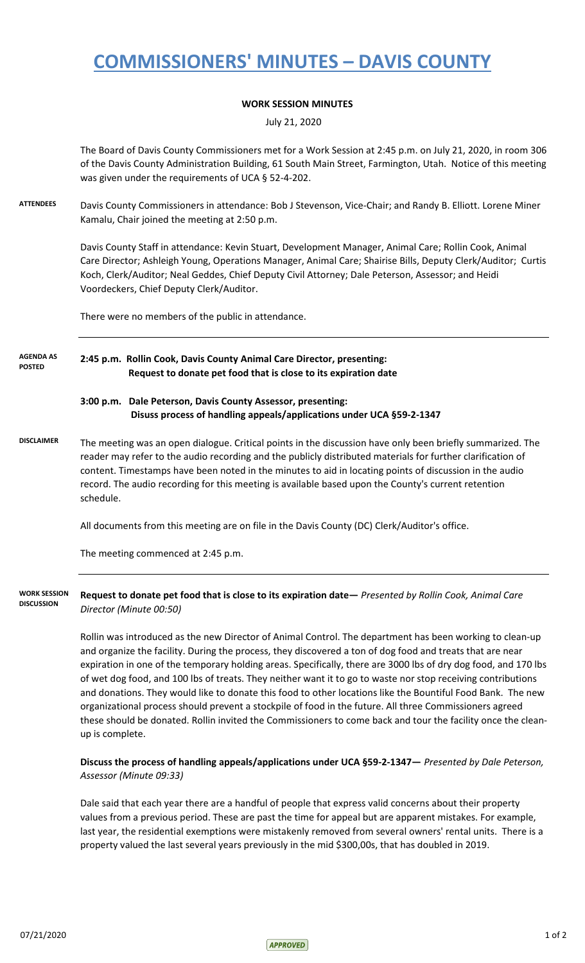# **COMMISSIONERS' MINUTES – DAVIS COUNTY**

### **WORK SESSION MINUTES**

July 21, 2020

The Board of Davis County Commissioners met for a Work Session at 2:45 p.m. on July 21, 2020, in room 306 of the Davis County Administration Building, 61 South Main Street, Farmington, Utah. Notice of this meeting was given under the requirements of UCA § 52-4-202.

**ATTENDEES** Davis County Commissioners in attendance: Bob J Stevenson, Vice-Chair; and Randy B. Elliott. Lorene Miner Kamalu, Chair joined the meeting at 2:50 p.m.

> Davis County Staff in attendance: Kevin Stuart, Development Manager, Animal Care; Rollin Cook, Animal Care Director; Ashleigh Young, Operations Manager, Animal Care; Shairise Bills, Deputy Clerk/Auditor; Curtis Koch, Clerk/Auditor; Neal Geddes, Chief Deputy Civil Attorney; Dale Peterson, Assessor; and Heidi Voordeckers, Chief Deputy Clerk/Auditor.

There were no members of the public in attendance.

#### **2:45 p.m. Rollin Cook, Davis County Animal Care Director, presenting: Request to donate pet food that is close to its expiration date AGENDA AS POSTED**

### **3:00 p.m. Dale Peterson, Davis County Assessor, presenting: Disuss process of handling appeals/applications under UCA §59-2-1347**

**DISCLAIMER** The meeting was an open dialogue. Critical points in the discussion have only been briefly summarized. The reader may refer to the audio recording and the publicly distributed materials for further clarification of content. Timestamps have been noted in the minutes to aid in locating points of discussion in the audio record. The audio recording for this meeting is available based upon the County's current retention schedule.

All documents from this meeting are on file in the Davis County (DC) Clerk/Auditor's office.

The meeting commenced at 2:45 p.m.

**Request to donate pet food that is close to its expiration date—** *Presented by Rollin Cook, Animal Care Director (Minute 00:50)* **WORK SESSION DISCUSSION**

> Rollin was introduced as the new Director of Animal Control. The department has been working to clean-up and organize the facility. During the process, they discovered a ton of dog food and treats that are near expiration in one of the temporary holding areas. Specifically, there are 3000 lbs of dry dog food, and 170 lbs of wet dog food, and 100 lbs of treats. They neither want it to go to waste nor stop receiving contributions and donations. They would like to donate this food to other locations like the Bountiful Food Bank. The new organizational process should prevent a stockpile of food in the future. All three Commissioners agreed these should be donated. Rollin invited the Commissioners to come back and tour the facility once the cleanup is complete.

#### **Discuss the process of handling appeals/applications under UCA §59-2-1347—** *Presented by Dale Peterson, Assessor (Minute 09:33)*

Dale said that each year there are a handful of people that express valid concerns about their property values from a previous period. These are past the time for appeal but are apparent mistakes. For example, last year, the residential exemptions were mistakenly removed from several owners' rental units. There is a property valued the last several years previously in the mid \$300,00s, that has doubled in 2019.